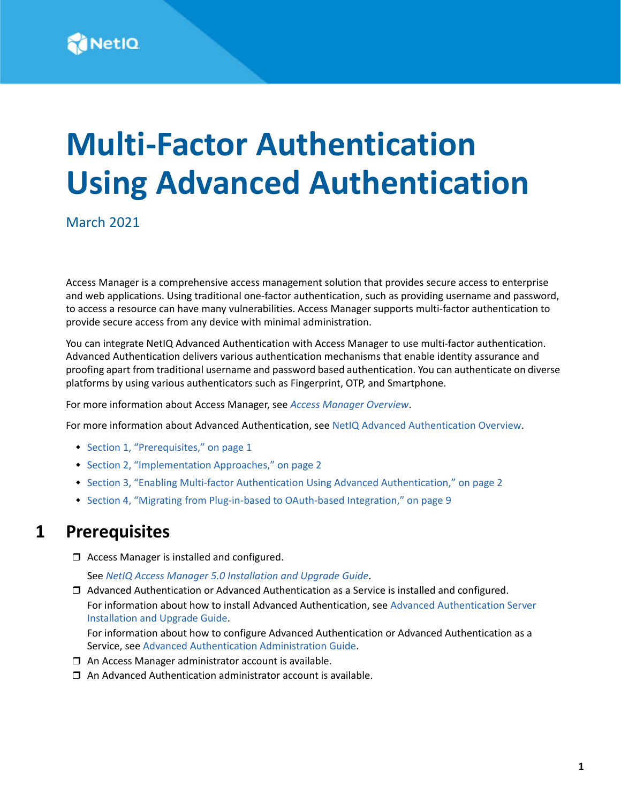

# **Multi-Factor Authentication Using Advanced Authentication**

March 2021

Access Manager is a comprehensive access management solution that provides secure access to enterprise and web applications. Using traditional one-factor authentication, such as providing username and password, to access a resource can have many vulnerabilities. Access Manager supports multi-factor authentication to provide secure access from any device with minimal administration.

You can integrate NetIQ Advanced Authentication with Access Manager to use multi-factor authentication. Advanced Authentication delivers various authentication mechanisms that enable identity assurance and proofing apart from traditional username and password based authentication. You can authenticate on diverse platforms by using various authenticators such as Fingerprint, OTP, and Smartphone.

For more information about Access Manager, see *[Access Manager Overview](https://www.microfocus.com/documentation/access-manager/5.0/pdfdoc/product-overview/product-overview.pdf#accessmanageroverview)*.

For more information about Advanced Authentication, see [NetIQ Advanced Authentication Overview](https://www.netiq.com/documentation/advanced-authentication-63/server-administrator-guide/data/netiq_advanced_authentication_framework_overview.html).

- [Section 1, "Prerequisites," on page 1](#page-0-0)
- [Section 2, "Implementation Approaches," on page 2](#page-1-0)
- \* [Section 3, "Enabling Multi-factor Authentication Using Advanced Authentication," on page 2](#page-1-1)
- [Section 4, "Migrating from Plug-in-based to OAuth-based Integration," on page 9](#page-8-0)

## <span id="page-0-0"></span>**1 Prerequisites**

□ Access Manager is installed and configured.

See *[NetIQ Access Manager 5.0 Installation and Upgrade Guide](https://www.microfocus.com/documentation/access-manager/5.0/pdfdoc/install_upgrade/install_upgrade.pdf#bookinfo)*.

 Advanced Authentication or Advanced Authentication as a Service is installed and configured. For information about how to install Advanced Authentication, see [Advanced Authentication Server](https://www.netiq.com/documentation/advanced-authentication-63/install-upgrade-guide/data/bookinfo.html)  [Installation and Upgrade Guide](https://www.netiq.com/documentation/advanced-authentication-63/install-upgrade-guide/data/bookinfo.html).

For information about how to configure Advanced Authentication or Advanced Authentication as a Service, see [Advanced Authentication Administration Guide](https://www.netiq.com/documentation/advanced-authentication-63/server-administrator-guide/data/part_config_applnc.html).

- $\Box$  An Access Manager administrator account is available.
- $\Box$  An Advanced Authentication administrator account is available.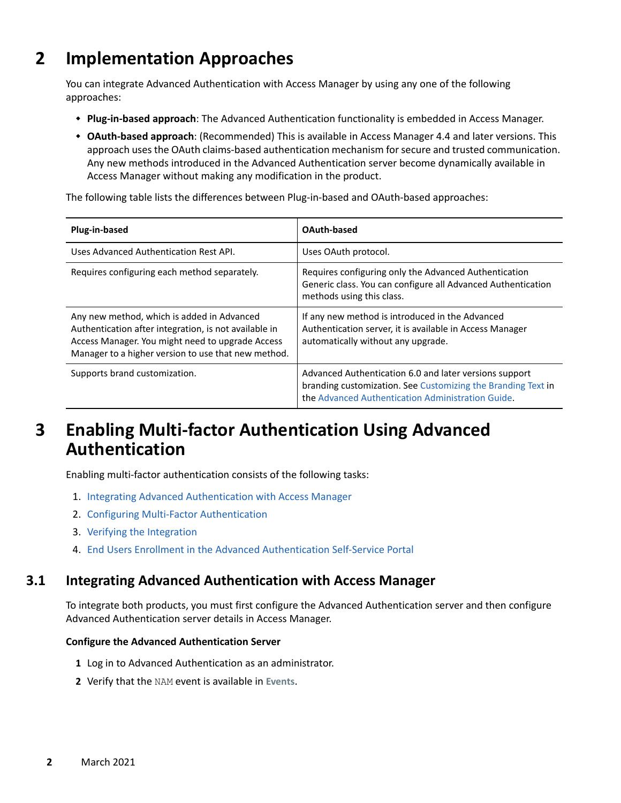# <span id="page-1-0"></span>**2 Implementation Approaches**

You can integrate Advanced Authentication with Access Manager by using any one of the following approaches:

- **Plug-in-based approach**: The Advanced Authentication functionality is embedded in Access Manager.
- **OAuth-based approach**: (Recommended) This is available in Access Manager 4.4 and later versions. This approach uses the OAuth claims-based authentication mechanism for secure and trusted communication. Any new methods introduced in the Advanced Authentication server become dynamically available in Access Manager without making any modification in the product.

The following table lists the differences between Plug-in-based and OAuth-based approaches:

| Plug-in-based                                                                                                                                                                                                  | OAuth-based                                                                                                                                                                 |
|----------------------------------------------------------------------------------------------------------------------------------------------------------------------------------------------------------------|-----------------------------------------------------------------------------------------------------------------------------------------------------------------------------|
| Uses Advanced Authentication Rest API.                                                                                                                                                                         | Uses OAuth protocol.                                                                                                                                                        |
| Requires configuring each method separately.                                                                                                                                                                   | Requires configuring only the Advanced Authentication<br>Generic class. You can configure all Advanced Authentication<br>methods using this class.                          |
| Any new method, which is added in Advanced<br>Authentication after integration, is not available in<br>Access Manager. You might need to upgrade Access<br>Manager to a higher version to use that new method. | If any new method is introduced in the Advanced<br>Authentication server, it is available in Access Manager<br>automatically without any upgrade.                           |
| Supports brand customization.                                                                                                                                                                                  | Advanced Authentication 6.0 and later versions support<br>branding customization. See Customizing the Branding Text in<br>the Advanced Authentication Administration Guide. |

# <span id="page-1-1"></span>**3 Enabling Multi-factor Authentication Using Advanced Authentication**

Enabling multi-factor authentication consists of the following tasks:

- 1. [Integrating Advanced Authentication with Access Manager](#page-1-2)
- 2. [Configuring Multi-Factor Authentication](#page-4-0)
- 3. [Verifying the Integration](#page-6-0)
- 4. [End Users Enrollment in the Advanced Authentication Self-Service Portal](#page-7-0)

## <span id="page-1-2"></span>**3.1 Integrating Advanced Authentication with Access Manager**

To integrate both products, you must first configure the Advanced Authentication server and then configure Advanced Authentication server details in Access Manager.

#### **Configure the Advanced Authentication Server**

- **1** Log in to Advanced Authentication as an administrator.
- **2** Verify that the NAM event is available in **Events**.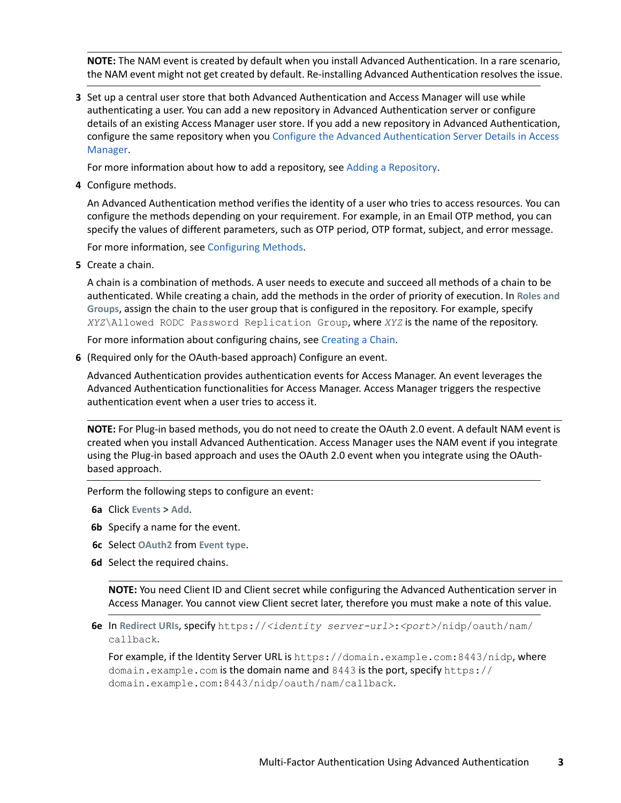**NOTE:** The NAM event is created by default when you install Advanced Authentication. In a rare scenario, the NAM event might not get created by default. Re-installing Advanced Authentication resolves the issue.

<span id="page-2-0"></span>**3** Set up a central user store that both Advanced Authentication and Access Manager will use while authenticating a user. You can add a new repository in Advanced Authentication server or configure details of an existing Access Manager user store. If you add a new repository in Advanced Authentication, configure the same repository when you [Configure the Advanced Authentication Server Details in Access](#page-3-0)  [Manager](#page-3-0).

For more information about how to add a repository, see [Adding a Repository](https://www.netiq.com/documentation/advanced-authentication-63/server-administrator-guide/data/add_repo.html).

**4** Configure methods.

An Advanced Authentication method verifies the identity of a user who tries to access resources. You can configure the methods depending on your requirement. For example, in an Email OTP method, you can specify the values of different parameters, such as OTP period, OTP format, subject, and error message.

For more information, see [Configuring Methods.](https://www.netiq.com/documentation/advanced-authentication-63/server-administrator-guide/data/config_methods.html)

**5** Create a chain.

A chain is a combination of methods. A user needs to execute and succeed all methods of a chain to be authenticated. While creating a chain, add the methods in the order of priority of execution. In **Roles and Groups**, assign the chain to the user group that is configured in the repository. For example, specify *XYZ*\Allowed RODC Password Replication Group, where *XYZ* is the name of the repository.

For more information about configuring chains, see [Creating a Chain.](https://www.netiq.com/documentation/advanced-authentication-63/server-administrator-guide/data/config_chain.html)

**6** (Required only for the OAuth-based approach) Configure an event.

Advanced Authentication provides authentication events for Access Manager. An event leverages the Advanced Authentication functionalities for Access Manager. Access Manager triggers the respective authentication event when a user tries to access it.

**NOTE:** For Plug-in based methods, you do not need to create the OAuth 2.0 event. A default NAM event is created when you install Advanced Authentication. Access Manager uses the NAM event if you integrate using the Plug-in based approach and uses the OAuth 2.0 event when you integrate using the OAuthbased approach.

Perform the following steps to configure an event:

- **6a** Click **Events** > **Add**.
- **6b** Specify a name for the event.
- **6c** Select **OAuth2** from **Event type**.
- <span id="page-2-1"></span>**6d** Select the required chains.

**NOTE:** You need Client ID and Client secret while configuring the Advanced Authentication server in Access Manager. You cannot view Client secret later, therefore you must make a note of this value.

**6e** In **Redirect URIs**, specify https://*<identity server-url>*:*<port>*/nidp/oauth/nam/ callback.

For example, if the Identity Server URL is https://domain.example.com:8443/nidp, where domain.example.com is the domain name and 8443 is the port, specify https:// domain.example.com:8443/nidp/oauth/nam/callback.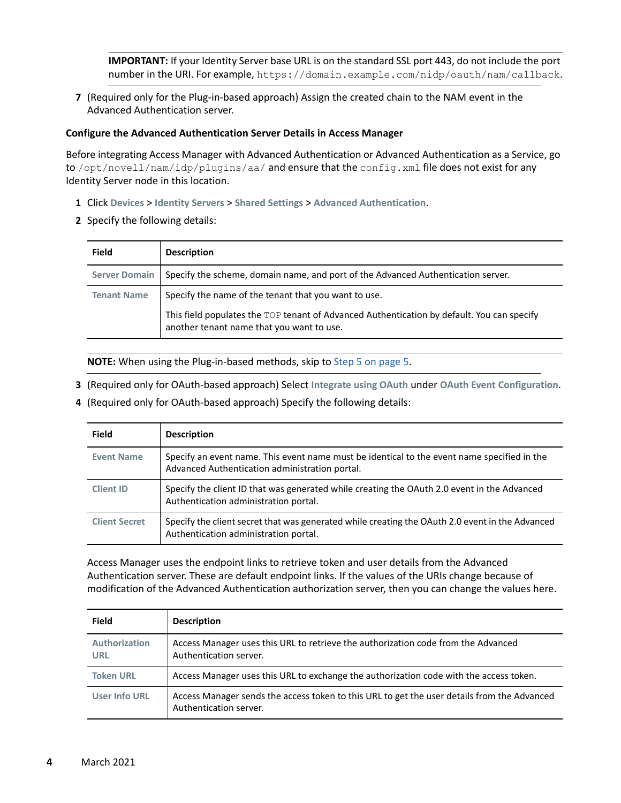**IMPORTANT:** If your Identity Server base URL is on the standard SSL port 443, do not include the port number in the URI. For example, https://domain.example.com/nidp/oauth/nam/callback.

**7** (Required only for the Plug-in-based approach) Assign the created chain to the NAM event in the Advanced Authentication server.

#### <span id="page-3-0"></span>**Configure the Advanced Authentication Server Details in Access Manager**

Before integrating Access Manager with Advanced Authentication or Advanced Authentication as a Service, go to /opt/novell/nam/idp/plugins/aa/ and ensure that the config. xml file does not exist for any Identity Server node in this location.

- **1** Click **Devices** > **Identity Servers** > **Shared Settings** > **Advanced Authentication**.
- **2** Specify the following details:

| <b>Field</b>         | <b>Description</b>                                                                                                                      |
|----------------------|-----------------------------------------------------------------------------------------------------------------------------------------|
| <b>Server Domain</b> | Specify the scheme, domain name, and port of the Advanced Authentication server.                                                        |
| <b>Tenant Name</b>   | Specify the name of the tenant that you want to use.                                                                                    |
|                      | This field populates the TOP tenant of Advanced Authentication by default. You can specify<br>another tenant name that you want to use. |

**NOTE:** When using the Plug-in-based methods, skip to [Step 5 on page 5](#page-4-1).

- **3** (Required only for OAuth-based approach) Select **Integrate using OAuth** under **OAuth Event Configuration**.
- **4** (Required only for OAuth-based approach) Specify the following details:

| <b>Field</b>         | <b>Description</b>                                                                                                                            |
|----------------------|-----------------------------------------------------------------------------------------------------------------------------------------------|
| <b>Event Name</b>    | Specify an event name. This event name must be identical to the event name specified in the<br>Advanced Authentication administration portal. |
| <b>Client ID</b>     | Specify the client ID that was generated while creating the OAuth 2.0 event in the Advanced<br>Authentication administration portal.          |
| <b>Client Secret</b> | Specify the client secret that was generated while creating the OAuth 2.0 event in the Advanced<br>Authentication administration portal.      |

Access Manager uses the endpoint links to retrieve token and user details from the Advanced Authentication server. These are default endpoint links. If the values of the URIs change because of modification of the Advanced Authentication authorization server, then you can change the values here.

| <b>Field</b>                | <b>Description</b>                                                                                                    |
|-----------------------------|-----------------------------------------------------------------------------------------------------------------------|
| Authorization<br><b>URL</b> | Access Manager uses this URL to retrieve the authorization code from the Advanced<br>Authentication server.           |
| <b>Token URL</b>            | Access Manager uses this URL to exchange the authorization code with the access token.                                |
| <b>User Info URL</b>        | Access Manager sends the access token to this URL to get the user details from the Advanced<br>Authentication server. |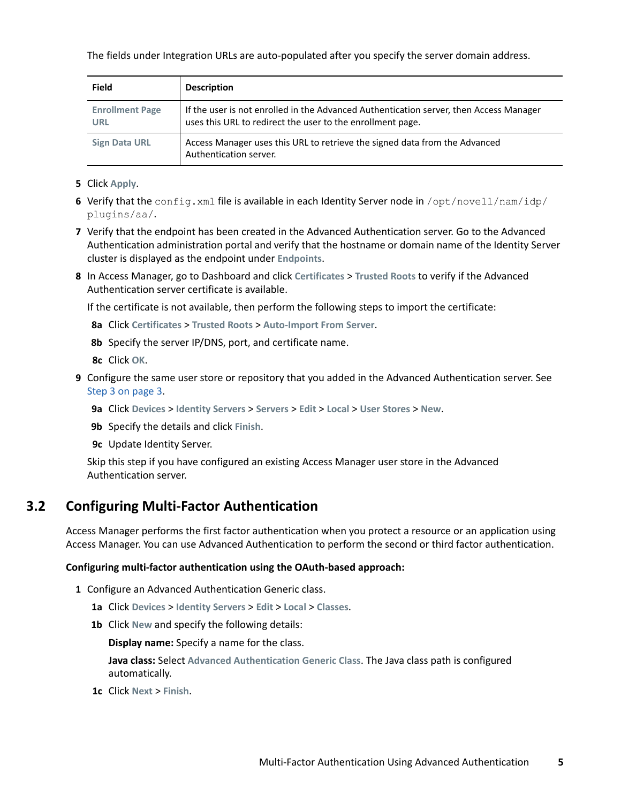The fields under Integration URLs are auto-populated after you specify the server domain address.

| <b>Field</b>                         | <b>Description</b>                                                                                                                                   |
|--------------------------------------|------------------------------------------------------------------------------------------------------------------------------------------------------|
| <b>Enrollment Page</b><br><b>URL</b> | If the user is not enrolled in the Advanced Authentication server, then Access Manager<br>uses this URL to redirect the user to the enrollment page. |
| <b>Sign Data URL</b>                 | Access Manager uses this URL to retrieve the signed data from the Advanced<br>Authentication server.                                                 |

- <span id="page-4-1"></span>**5** Click **Apply**.
- **6** Verify that the config.xml file is available in each Identity Server node in /opt/novell/nam/idp/ plugins/aa/.
- **7** Verify that the endpoint has been created in the Advanced Authentication server. Go to the Advanced Authentication administration portal and verify that the hostname or domain name of the Identity Server cluster is displayed as the endpoint under **Endpoints**.
- **8** In Access Manager, go to Dashboard and click **Certificates** > **Trusted Roots** to verify if the Advanced Authentication server certificate is available.

If the certificate is not available, then perform the following steps to import the certificate:

- **8a** Click **Certificates** > **Trusted Roots** > **Auto-Import From Server**.
- **8b** Specify the server IP/DNS, port, and certificate name.
- **8c** Click **OK**.
- **9** Configure the same user store or repository that you added in the Advanced Authentication server. See [Step 3 on page 3](#page-2-0).
	- **9a** Click **Devices** > **Identity Servers** > **Servers** > **Edit** > **Local** > **User Stores** > **New**.
	- **9b** Specify the details and click **Finish**.
	- **9c** Update Identity Server.

Skip this step if you have configured an existing Access Manager user store in the Advanced Authentication server.

## <span id="page-4-0"></span>**3.2 Configuring Multi-Factor Authentication**

Access Manager performs the first factor authentication when you protect a resource or an application using Access Manager. You can use Advanced Authentication to perform the second or third factor authentication.

#### **Configuring multi-factor authentication using the OAuth-based approach:**

- **1** Configure an Advanced Authentication Generic class.
	- **1a** Click **Devices** > **Identity Servers** > **Edit** > **Local** > **Classes**.
	- **1b** Click **New** and specify the following details:

**Display name:** Specify a name for the class.

**Java class:** Select **Advanced Authentication Generic Class**. The Java class path is configured automatically.

**1c** Click **Next** > **Finish**.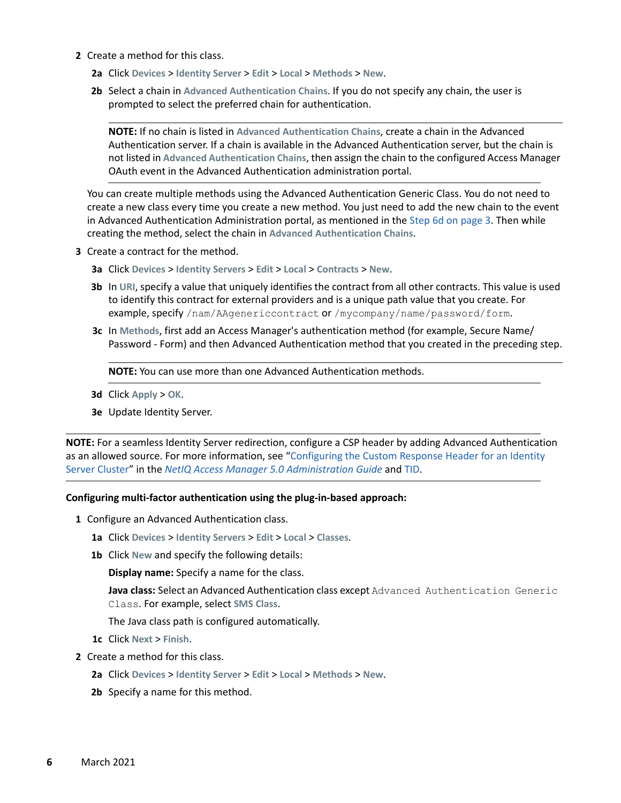- **2** Create a method for this class.
	- **2a** Click **Devices** > **Identity Server** > **Edit** > **Local** > **Methods** > **New**.
	- **2b** Select a chain in **Advanced Authentication Chains**. If you do not specify any chain, the user is prompted to select the preferred chain for authentication.

**NOTE:** If no chain is listed in **Advanced Authentication Chains**, create a chain in the Advanced Authentication server. If a chain is available in the Advanced Authentication server, but the chain is not listed in **Advanced Authentication Chains**, then assign the chain to the configured Access Manager OAuth event in the Advanced Authentication administration portal.

You can create multiple methods using the Advanced Authentication Generic Class. You do not need to create a new class every time you create a new method. You just need to add the new chain to the event in Advanced Authentication Administration portal, as mentioned in the [Step 6d on page 3](#page-2-1). Then while creating the method, select the chain in **Advanced Authentication Chains**.

- **3** Create a contract for the method.
	- **3a** Click **Devices** > **Identity Servers** > **Edit** > **Local** > **Contracts** > **New**.
	- **3b** In **URI**, specify a value that uniquely identifies the contract from all other contracts. This value is used to identify this contract for external providers and is a unique path value that you create. For example, specify /nam/AAgenericcontract or /mycompany/name/password/form.
	- **3c** In **Methods**, first add an Access Manager's authentication method (for example, Secure Name/ Password - Form) and then Advanced Authentication method that you created in the preceding step.

**NOTE:** You can use more than one Advanced Authentication methods.

- **3d** Click **Apply** > **OK**.
- **3e** Update Identity Server.

**NOTE:** For a seamless Identity Server redirection, configure a CSP header by adding Advanced Authentication as an allowed source. For more information, see ["Configuring the Custom Response Header for an Identity](https://www.microfocus.com/documentation/access-manager/5.0/pdfdoc/admin/admin.pdf#responseheaders)  [Server Cluster](https://www.microfocus.com/documentation/access-manager/5.0/pdfdoc/admin/admin.pdf#responseheaders)" in the *[NetIQ Access Manager 5.0 Administration Guide](https://www.microfocus.com/documentation/access-manager/5.0/pdfdoc/admin/admin.pdf#bookinfo)* and [TID.](https://support.microfocus.com/kb/doc.php?id=7024820#)

#### **Configuring multi-factor authentication using the plug-in-based approach:**

- **1** Configure an Advanced Authentication class.
	- **1a** Click **Devices** > **Identity Servers** > **Edit** > **Local** > **Classes**.
	- **1b** Click **New** and specify the following details:

**Display name:** Specify a name for the class.

**Java class:** Select an Advanced Authentication class except Advanced Authentication Generic Class. For example, select **SMS Class**.

The Java class path is configured automatically.

- **1c** Click **Next** > **Finish**.
- **2** Create a method for this class.
	- **2a** Click **Devices** > **Identity Server** > **Edit** > **Local** > **Methods** > **New**.
	- **2b** Specify a name for this method.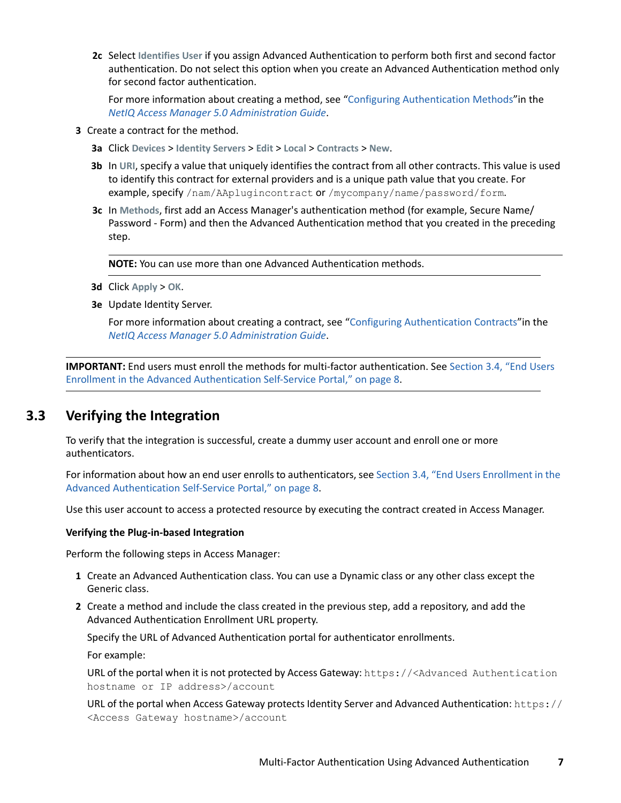**2c** Select **Identifies User** if you assign Advanced Authentication to perform both first and second factor authentication. Do not select this option when you create an Advanced Authentication method only for second factor authentication.

For more information about creating a method, see ["Configuring Authentication Methods](https://www.microfocus.com/documentation/access-manager/5.0/pdfdoc/admin/admin.pdf#configureauthmethod)"in the *[NetIQ Access Manager 5.0 Administration Guide](https://www.microfocus.com/documentation/access-manager/5.0/pdfdoc/admin/admin.pdf#bookinfo)*.

- **3** Create a contract for the method.
	- **3a** Click **Devices** > **Identity Servers** > **Edit** > **Local** > **Contracts** > **New**.
	- **3b** In **URI**, specify a value that uniquely identifies the contract from all other contracts. This value is used to identify this contract for external providers and is a unique path value that you create. For example, specify /nam/AAplugincontract or /mycompany/name/password/form.
	- **3c** In **Methods**, first add an Access Manager's authentication method (for example, Secure Name/ Password - Form) and then the Advanced Authentication method that you created in the preceding step.

**NOTE:** You can use more than one Advanced Authentication methods.

- **3d** Click **Apply** > **OK**.
- **3e** Update Identity Server.

For more information about creating a contract, see "[Configuring Authentication Contracts](https://www.microfocus.com/documentation/access-manager/5.0/pdfdoc/admin/admin.pdf#localcontract)"in the *[NetIQ Access Manager 5.0 Administration Guide](https://www.microfocus.com/documentation/access-manager/5.0/pdfdoc/admin/admin.pdf#bookinfo)*.

**IMPORTANT:** End users must enroll the methods for multi-factor authentication. See [Section 3.4, "End Users](#page-7-0)  [Enrollment in the Advanced Authentication Self-Service Portal," on page 8](#page-7-0).

## <span id="page-6-0"></span>**3.3 Verifying the Integration**

To verify that the integration is successful, create a dummy user account and enroll one or more authenticators.

For information about how an end user enrolls to authenticators, see [Section 3.4, "End Users Enrollment in the](#page-7-0)  [Advanced Authentication Self-Service Portal," on page 8](#page-7-0).

Use this user account to access a protected resource by executing the contract created in Access Manager.

#### **Verifying the Plug-in-based Integration**

Perform the following steps in Access Manager:

- **1** Create an Advanced Authentication class. You can use a Dynamic class or any other class except the Generic class.
- **2** Create a method and include the class created in the previous step, add a repository, and add the Advanced Authentication Enrollment URL property.

Specify the URL of Advanced Authentication portal for authenticator enrollments.

For example:

URL of the portal when it is not protected by Access Gateway: https://<Advanced Authentication hostname or IP address>/account

URL of the portal when Access Gateway protects Identity Server and Advanced Authentication: https:// <Access Gateway hostname>/account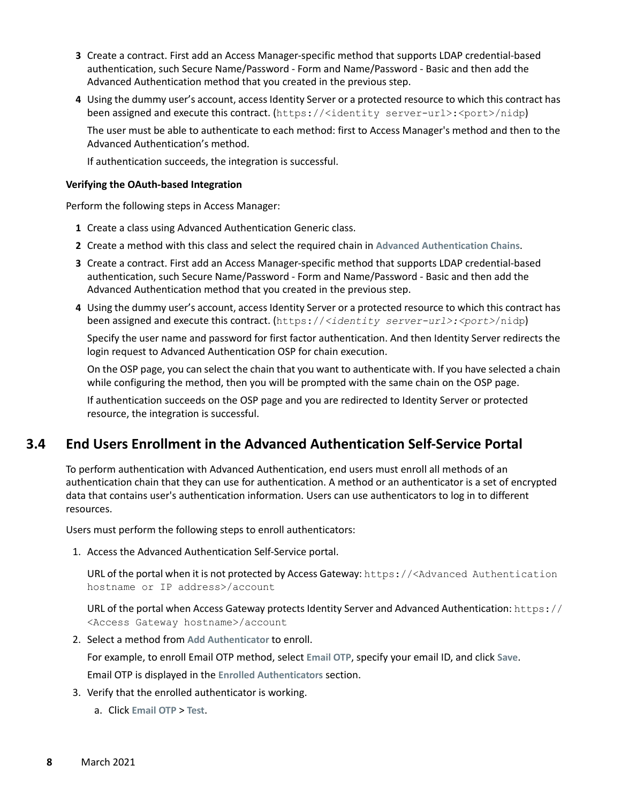- **3** Create a contract. First add an Access Manager-specific method that supports LDAP credential-based authentication, such Secure Name/Password - Form and Name/Password - Basic and then add the Advanced Authentication method that you created in the previous step.
- **4** Using the dummy user's account, access Identity Server or a protected resource to which this contract has been assigned and execute this contract. (https://<identity server-url>:<port>/nidp)

The user must be able to authenticate to each method: first to Access Manager's method and then to the Advanced Authentication's method.

If authentication succeeds, the integration is successful.

#### <span id="page-7-1"></span>**Verifying the OAuth-based Integration**

Perform the following steps in Access Manager:

- **1** Create a class using Advanced Authentication Generic class.
- **2** Create a method with this class and select the required chain in **Advanced Authentication Chains**.
- **3** Create a contract. First add an Access Manager-specific method that supports LDAP credential-based authentication, such Secure Name/Password - Form and Name/Password - Basic and then add the Advanced Authentication method that you created in the previous step.
- **4** Using the dummy user's account, access Identity Server or a protected resource to which this contract has been assigned and execute this contract. (https://*<identity server-url>:<port>*/nidp)

Specify the user name and password for first factor authentication. And then Identity Server redirects the login request to Advanced Authentication OSP for chain execution.

On the OSP page, you can select the chain that you want to authenticate with. If you have selected a chain while configuring the method, then you will be prompted with the same chain on the OSP page.

If authentication succeeds on the OSP page and you are redirected to Identity Server or protected resource, the integration is successful.

## <span id="page-7-0"></span>**3.4 End Users Enrollment in the Advanced Authentication Self-Service Portal**

To perform authentication with Advanced Authentication, end users must enroll all methods of an authentication chain that they can use for authentication. A method or an authenticator is a set of encrypted data that contains user's authentication information. Users can use authenticators to log in to different resources.

Users must perform the following steps to enroll authenticators:

1. Access the Advanced Authentication Self-Service portal.

URL of the portal when it is not protected by Access Gateway: https://<Advanced Authentication hostname or IP address>/account

URL of the portal when Access Gateway protects Identity Server and Advanced Authentication: https:// <Access Gateway hostname>/account

2. Select a method from **Add Authenticator** to enroll.

For example, to enroll Email OTP method, select **Email OTP**, specify your email ID, and click **Save**.

Email OTP is displayed in the **Enrolled Authenticators** section.

- 3. Verify that the enrolled authenticator is working.
	- a. Click **Email OTP** > **Test**.